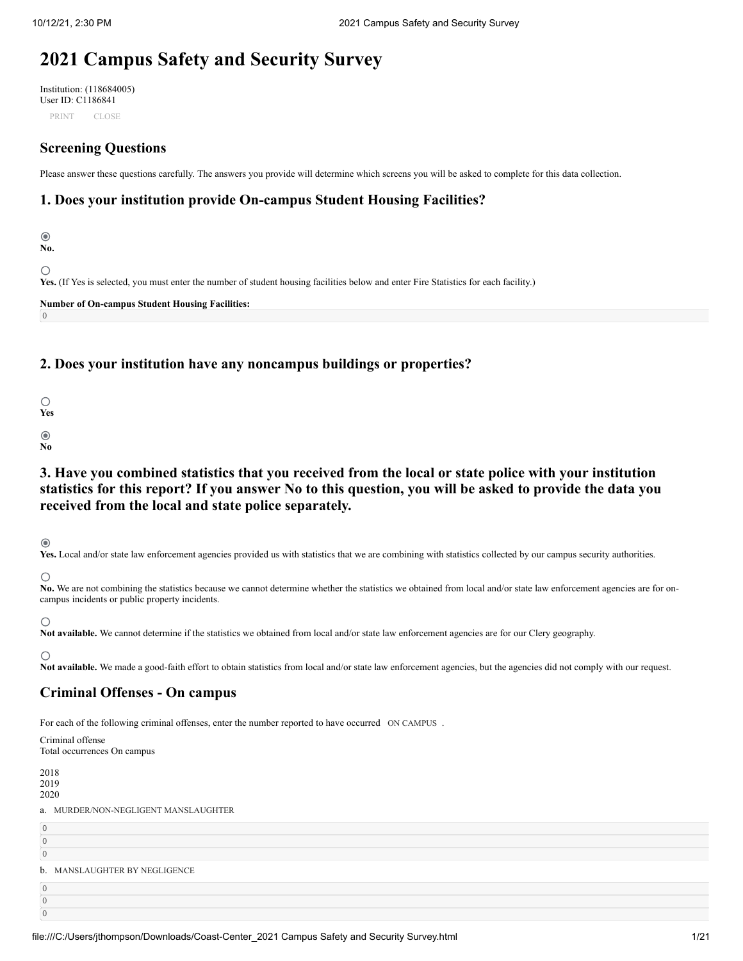# **2021 Campus Safety and Security Survey**

Institution: (118684005) User ID: C1186841 PRINT CLOSE

# **Screening Questions**

Please answer these questions carefully. The answers you provide will determine which screens you will be asked to complete for this data collection.

# **1. Does your institution provide On-campus Student Housing Facilities?**

 $\odot$ **No.** ∩ **Yes.** (If Yes is selected, you must enter the number of student housing facilities below and enter Fire Statistics for each facility.) **Number of On-campus Student Housing Facilities:** 0

# **2. Does your institution have any noncampus buildings or properties?**

| Ś<br>'e<br>٠ |  |
|--------------|--|
|              |  |
|              |  |

# **No**

**3. Have you combined statistics that you received from the local or state police with your institution statistics for this report? If you answer No to this question, you will be asked to provide the data you received from the local and state police separately.**

# $\odot$

Yes. Local and/or state law enforcement agencies provided us with statistics that we are combining with statistics collected by our campus security authorities.

 $\bigcirc$ 

No. We are not combining the statistics because we cannot determine whether the statistics we obtained from local and/or state law enforcement agencies are for oncampus incidents or public property incidents.

# $\circ$

Not available. We cannot determine if the statistics we obtained from local and/or state law enforcement agencies are for our Clery geography.

# ∩

Not available. We made a good-faith effort to obtain statistics from local and/or state law enforcement agencies, but the agencies did not comply with our request.

# **Criminal Offenses - On campus**

For each of the following criminal offenses, enter the number reported to have occurred ON CAMPUS.

Criminal offense Total occurrences On campus

2018 2019 2020 a. MURDER/NON-NEGLIGENT MANSLAUGHTER  $\overline{0}$  $\overline{0}$  $\overline{0}$ b. MANSLAUGHTER BY NEGLIGENCE0 0 0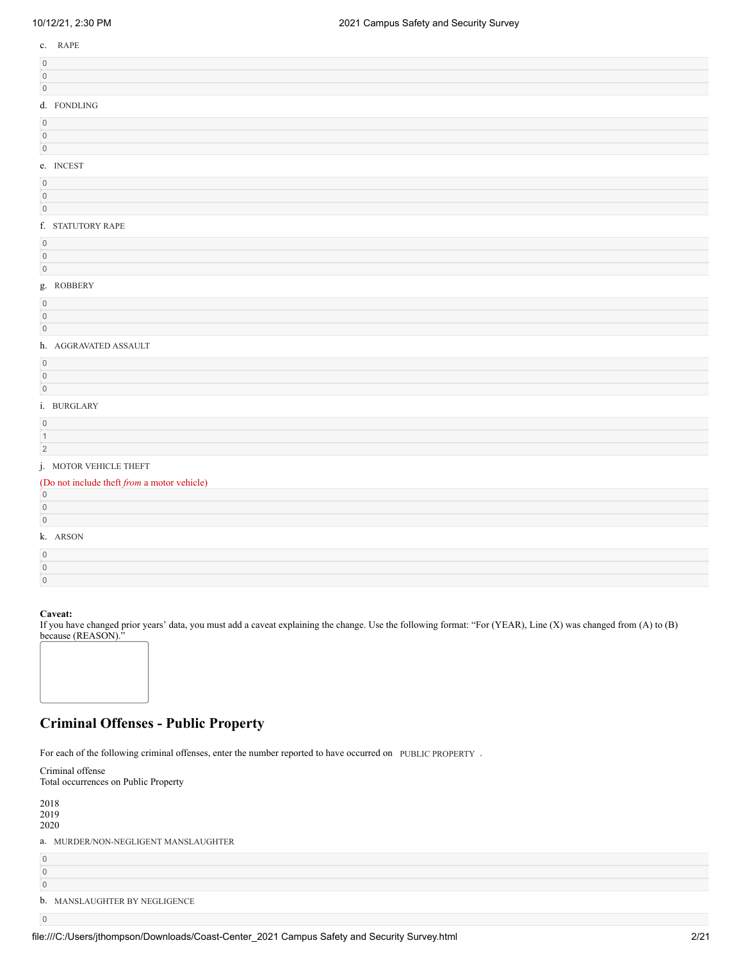| $0.12121$ , $0.00111$                       | Lot: Campus Caroly and Cooding Carvey |
|---------------------------------------------|---------------------------------------|
| c. RAPE                                     |                                       |
| $\,0\,$                                     |                                       |
| $\,0\,$                                     |                                       |
| $\,0\,$                                     |                                       |
| d. FONDLING                                 |                                       |
| $\,0\,$                                     |                                       |
| $\boldsymbol{0}$                            |                                       |
| $\circ$                                     |                                       |
| e. INCEST                                   |                                       |
| $\,0\,$                                     |                                       |
| $\,0\,$<br>$\mathbf 0$                      |                                       |
|                                             |                                       |
| f. STATUTORY RAPE                           |                                       |
| $\,0\,$                                     |                                       |
| $\mathbf 0$<br>$\,0\,$                      |                                       |
| g. ROBBERY                                  |                                       |
| $\,0\,$                                     |                                       |
| $\mathsf{O}$                                |                                       |
| $\,0\,$                                     |                                       |
| h. AGGRAVATED ASSAULT                       |                                       |
| $\mathsf{O}$                                |                                       |
| $\,0\,$                                     |                                       |
| $\,0\,$                                     |                                       |
| i. BURGLARY                                 |                                       |
| $\mathbf 0$                                 |                                       |
| $\overline{1}$                              |                                       |
| $\sqrt{2}$                                  |                                       |
| j. MOTOR VEHICLE THEFT                      |                                       |
| (Do not include theft from a motor vehicle) |                                       |
| $\overline{0}$<br>$\mathbf 0$               |                                       |
| $\mathbb O$                                 |                                       |
| k. ARSON                                    |                                       |
| $\,0\,$                                     |                                       |
| $\mathsf{O}$                                |                                       |

0

If you have changed prior years' data, you must add a caveat explaining the change. Use the following format: "For (YEAR), Line (X) was changed from (A) to (B) because (REASON)."



# **Criminal Offenses - Public Property**

For each of the following criminal offenses, enter the number reported to have occurred on PUBLIC PROPERTY.

| Criminal offense                     |  |  |
|--------------------------------------|--|--|
| Total occurrences on Public Property |  |  |
|                                      |  |  |
| 2018                                 |  |  |
| 2019                                 |  |  |
| 2020                                 |  |  |
| a. MURDER/NON-NEGLIGENT MANSLAUGHTER |  |  |
| $\overline{0}$                       |  |  |
| $\overline{0}$                       |  |  |
| $\overline{0}$                       |  |  |
| b. MANSLAUGHTER BY NEGLIGENCE        |  |  |
| $\overline{0}$                       |  |  |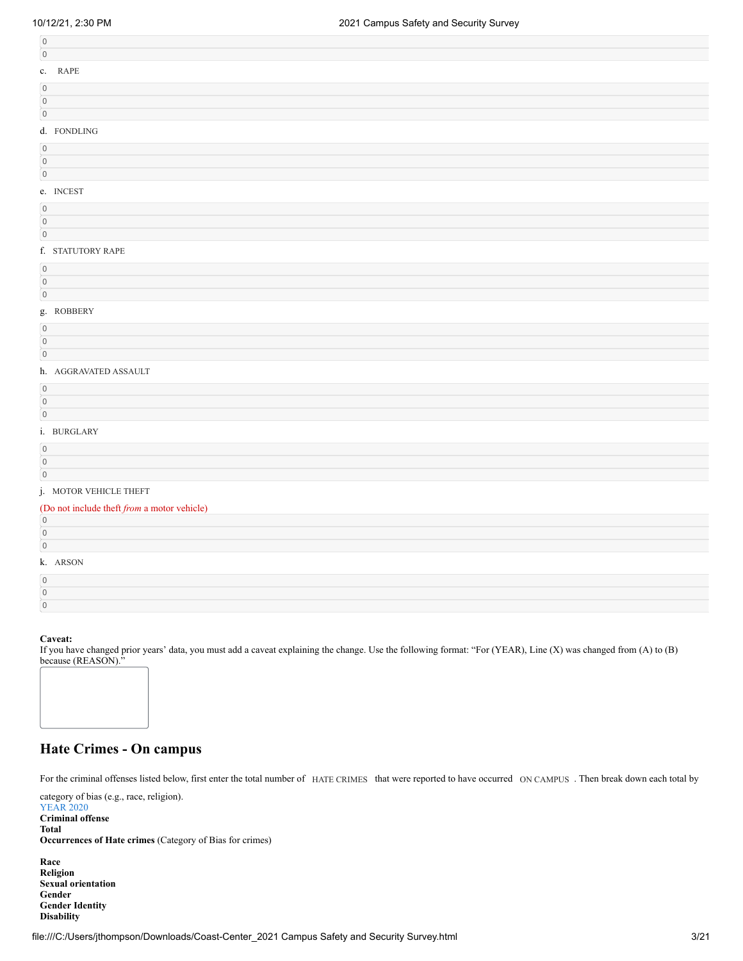| $\mathbf 0$    |                   |
|----------------|-------------------|
| c. RAPE        |                   |
| $\overline{0}$ |                   |
| $\mathbf 0$    |                   |
| $\mathbf 0$    |                   |
| d. FONDLING    |                   |
| $\mathbf 0$    |                   |
| $\mathbf 0$    |                   |
| $\mathbf 0$    |                   |
| e. INCEST      |                   |
| $\overline{0}$ |                   |
| $\mathbf 0$    |                   |
| $\mathbf 0$    |                   |
|                | f. STATUTORY RAPE |
| $\mathbf{0}$   |                   |

| $\Omega$ |            |
|----------|------------|
| $\Omega$ |            |
|          | g. ROBBERY |
| $\Omega$ |            |
| 0        |            |

# h. AGGRAVATED ASSAULT

#### i. BURGLARY

0

# j. MOTOR VEHICLE THEFT

| (Do not include theft from a motor vehicle) |  |  |
|---------------------------------------------|--|--|
| $\overline{0}$                              |  |  |
| $\overline{0}$                              |  |  |
| $\overline{0}$                              |  |  |
| k. ARSON                                    |  |  |
| $\overline{0}$                              |  |  |
| $\overline{0}$                              |  |  |
| $\overline{0}$                              |  |  |

### **Caveat:**

If you have changed prior years' data, you must add a caveat explaining the change. Use the following format: "For (YEAR), Line (X) was changed from (A) to (B) because (REASON)."



For the criminal offenses listed below, first enter the total number of HATE CRIMES that were reported to have occurred ON CAMPUS. Then break down each total by

category of bias (e.g., race, religion).

YEAR 2020 **Criminal offense Total Occurrences of Hate crimes** (Category of Bias for crimes)

**Race Religion Sexual orientation Gender Gender Identity Disability**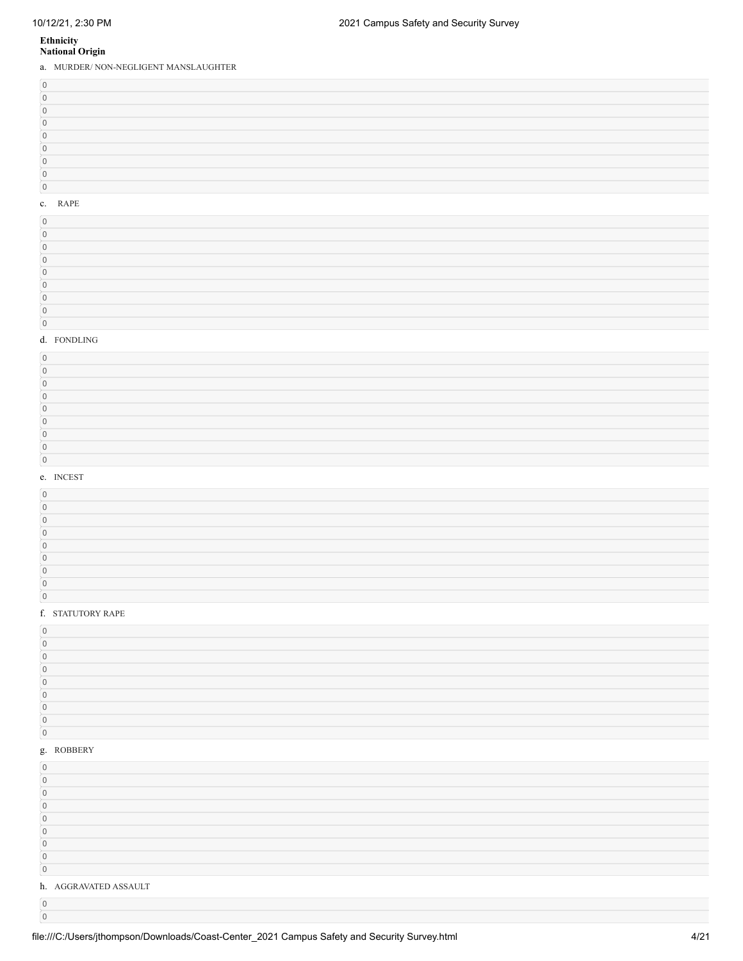# **Ethnicity National Origin**

a. MURDER/ NON-NEGLIGENT MANSLAUGHTER

# c. RAPE

# d. FONDLING

#### e. INCEST

#### f. STATUTORY RAPE

#### g. ROBBERY

| c                     |  |  |
|-----------------------|--|--|
|                       |  |  |
|                       |  |  |
|                       |  |  |
|                       |  |  |
|                       |  |  |
|                       |  |  |
|                       |  |  |
|                       |  |  |
| h. AGGRAVATED ASSAULT |  |  |
|                       |  |  |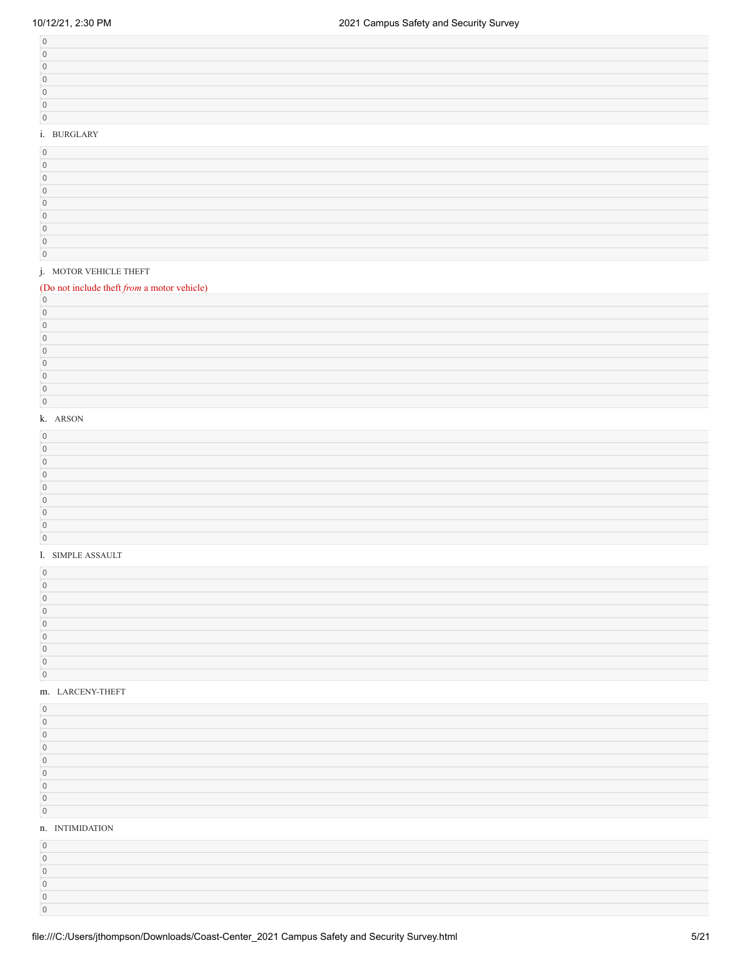| <b>BURGLARY</b> |  |  |
|-----------------|--|--|

#### i. BURGLARY

### j. MOTOR VEHICLE THEFT

# (Do not include theft *from* a motor vehicle)

#### k. ARSON

#### l. SIMPLE ASSAULT

#### m. LARCENY-THEFT

 

| $\Omega$        |  |
|-----------------|--|
| n. INTIMIDATION |  |
| $\cap$          |  |
|                 |  |
|                 |  |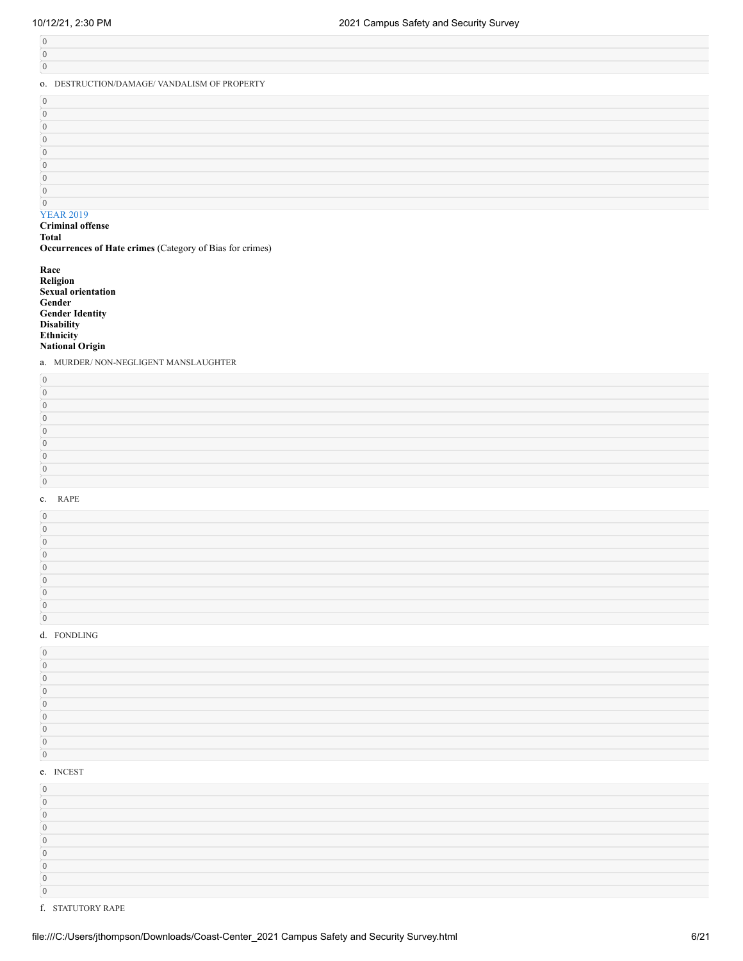| $\Omega$                                     |  |
|----------------------------------------------|--|
| $\mathbf{0}$                                 |  |
| 0. DESTRUCTION/DAMAGE/ VANDALISM OF PROPERTY |  |
| $\Omega$                                     |  |
| $\Omega$                                     |  |
| $\Omega$                                     |  |
| $\Omega$                                     |  |
| $\Omega$                                     |  |
| $\Omega$                                     |  |
| $\Omega$                                     |  |
| $\Omega$                                     |  |
|                                              |  |

# YEAR 2019

**Criminal offense Total**

**Occurrences of Hate crimes** (Category of Bias for crimes)

**Race Religion Sexual orientation Gender Gender Identity Disability Ethnicity National Origin**

a. MURDER/ NON-NEGLIGENT MANSLAUGHTER

#### c. RAPE

#### d. FONDLING

| $\alpha$ INICECT |  |  |
|------------------|--|--|

#### e. INCEST

f. STATUTORY RAPE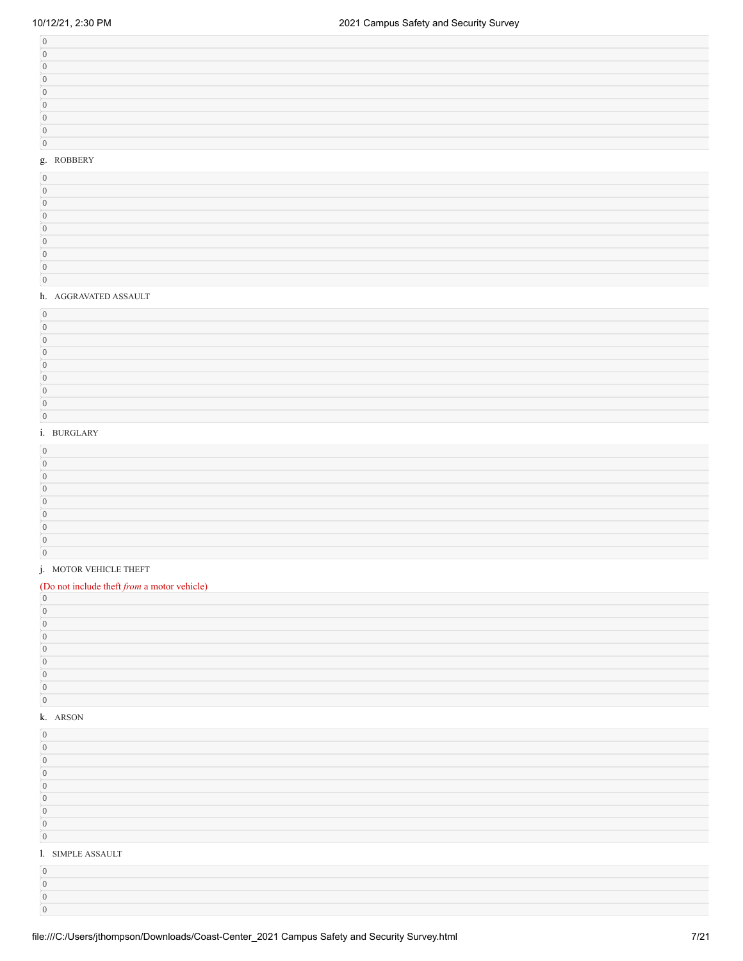# g. ROBBERY

#### h. AGGRAVATED ASSAULT

#### i. BURGLARY

#### j. MOTOR VEHICLE THEFT

# (Do not include theft *from* a motor vehicle)

### k. ARSON

| $\Omega$          |  |
|-------------------|--|
| $\Omega$          |  |
| $\cap$            |  |
| $\Omega$          |  |
| $\Omega$          |  |
| $\cap$            |  |
| $\cap$            |  |
| $\sqrt{ }$        |  |
| $\overline{0}$    |  |
| 1. SIMPLE ASSAULT |  |
| $\Omega$          |  |
| $\Omega$          |  |
|                   |  |
|                   |  |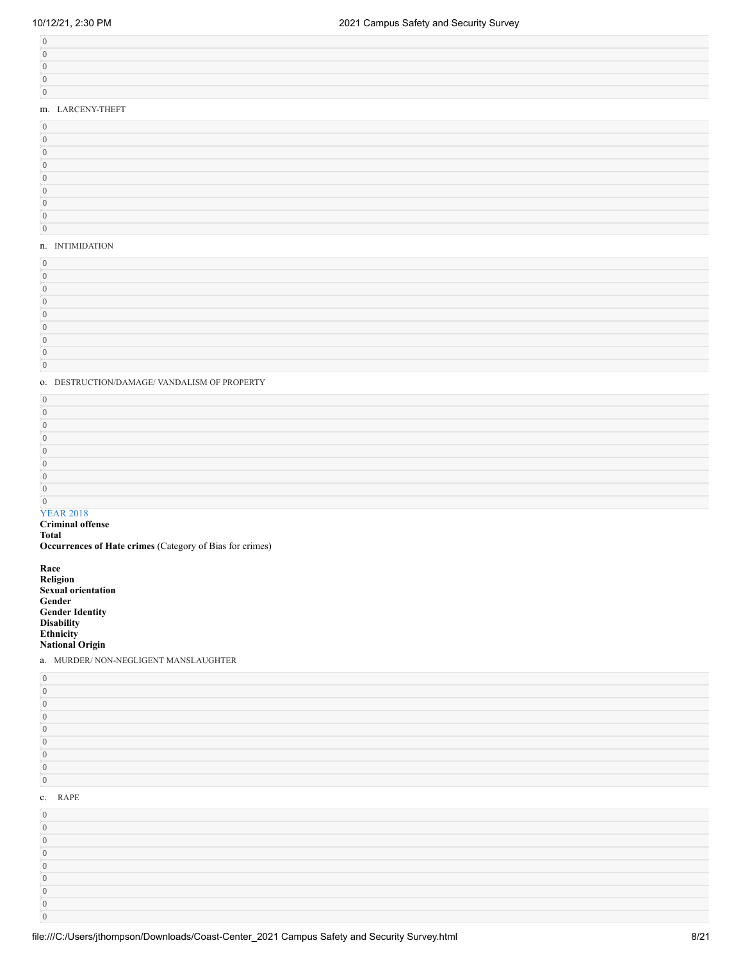| m I ADCENIV THEFT |
|-------------------|

# m. LARCENY-THEFT

### n. INTIMIDATION

### o. DESTRUCTION/DAMAGE/ VANDALISM OF PROPERTY

# YEAR 2018

# **Criminal offense Total**

**Occurrences of Hate crimes** (Category of Bias for crimes)

**Race Religion Sexual orientation Gender Gender Identity Disability Ethnicity National Origin**

 

a. MURDER/ NON-NEGLIGENT MANSLAUGHTER

| $\Box$              |  |
|---------------------|--|
| 0                   |  |
| $\overline{0}$      |  |
| $\Omega$            |  |
| $\Omega$            |  |
| $\Omega$            |  |
| $\Omega$            |  |
| $\overline{0}$      |  |
|                     |  |
|                     |  |
| $\overline{0}$      |  |
| $\overline{0}$      |  |
| c. RAPE<br>$\Omega$ |  |
| 0                   |  |
| 0                   |  |
| n                   |  |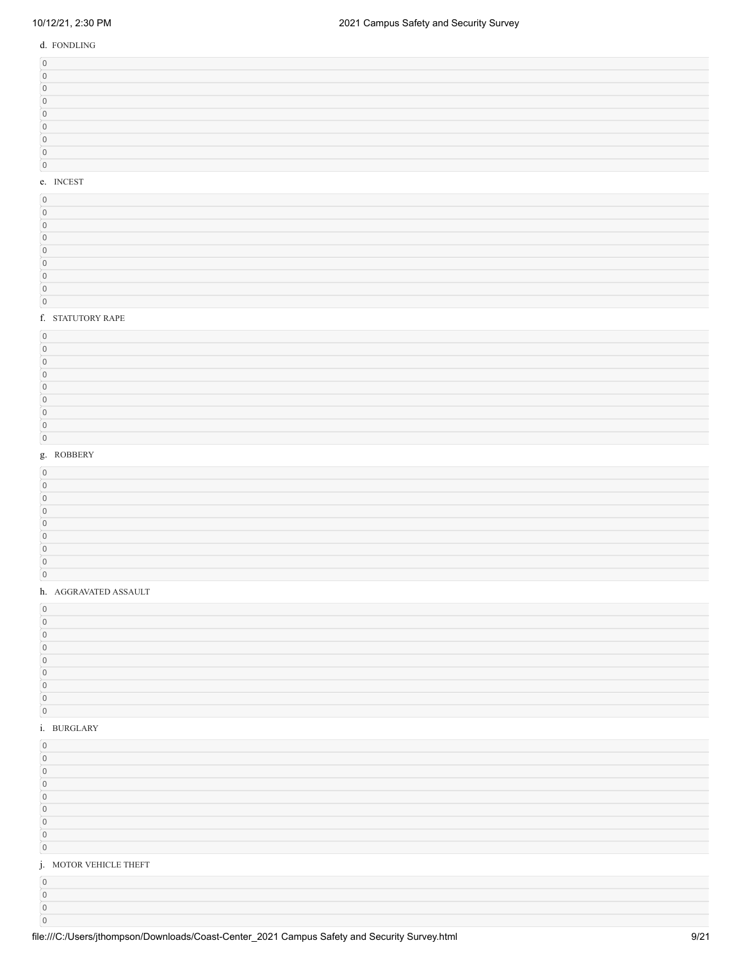d. FONDLING

# e. INCEST

# f. STATUTORY RAPE

## g. ROBBERY

# h. AGGRAVATED ASSAULT

#### i. BURGLARY

 $\overline{0}$ 

| $\Omega$               |  |
|------------------------|--|
| $\Omega$               |  |
| $\Omega$               |  |
| $\Omega$               |  |
| $\cap$                 |  |
| $\Omega$               |  |
| $\Omega$               |  |
| $\Omega$               |  |
| $\overline{0}$         |  |
| j. MOTOR VEHICLE THEFT |  |
| $\Omega$               |  |
| $\sqrt{ }$             |  |
|                        |  |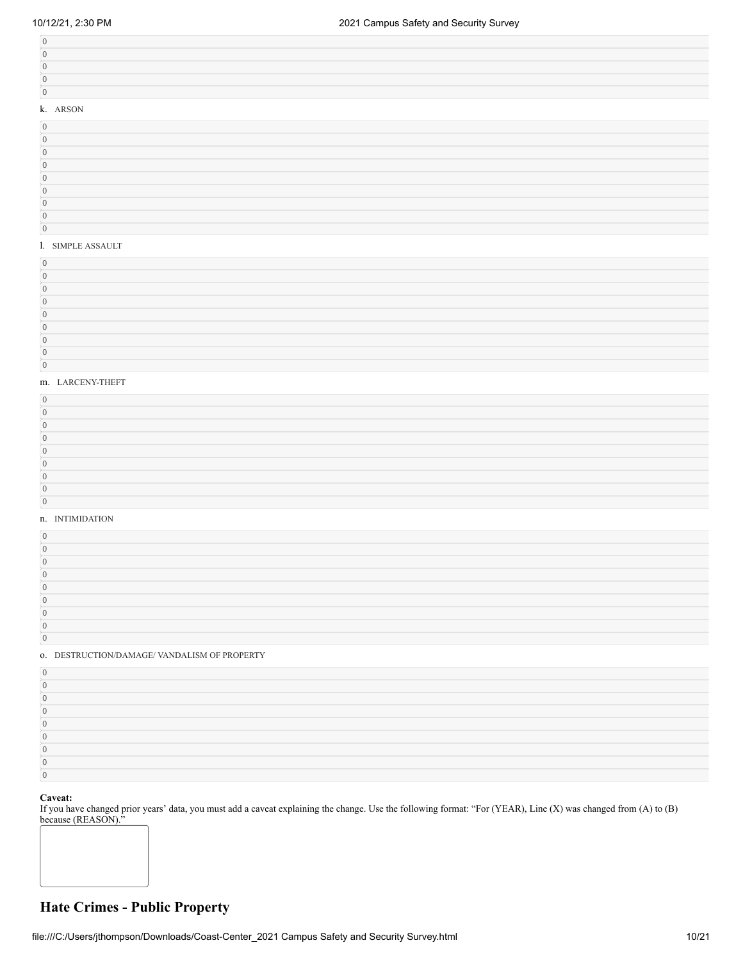| k. ARSON |  |  |
|----------|--|--|
| $\sim$   |  |  |
|          |  |  |

## l. SIMPLE ASSAULT

## m. LARCENY-THEFT

# n. INTIMIDATION

#### o. DESTRUCTION/DAMAGE/ VANDALISM OF PROPERTY

# **Caveat:**

If you have changed prior years' data, you must add a caveat explaining the change. Use the following format: "For (YEAR), Line (X) was changed from (A) to (B) because (REASON)."

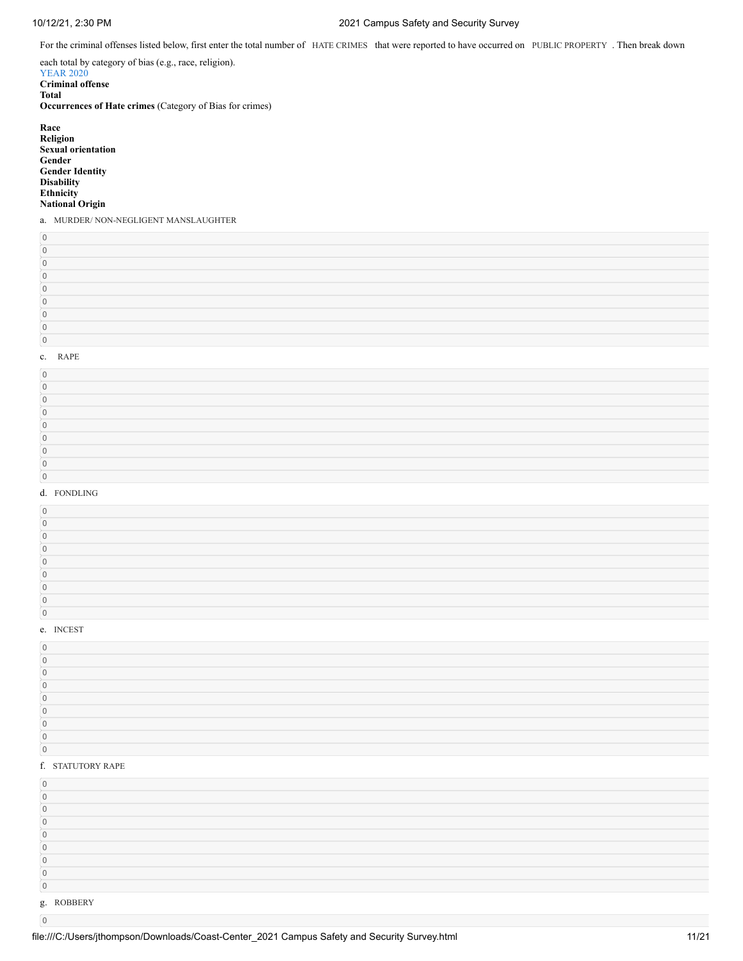# 10/12/21, 2:30 PM 2021 Campus Safety and Security Survey

For the criminal offenses listed below, first enter the total number of HATE CRIMES that were reported to have occurred on PUBLIC PROPERTY. Then break down

each total by category of bias (e.g., race, religion). YEAR 2020 **Criminal offense Total Occurrences of Hate crimes** (Category of Bias for crimes) **Race**

| .                         |
|---------------------------|
| Religion                  |
| <b>Sexual orientation</b> |
| Gender                    |
| <b>Gender Identity</b>    |
| <b>Disability</b>         |
| Ethnicity                 |
| <b>National Origin</b>    |
|                           |

a. MURDER/ NON-NEGLIGENT MANSLAUGHTER

#### c. RAPE

#### d. FONDLING

## e. INCEST

# 

| f. STATUTORY RAPE |  |  |
|-------------------|--|--|
| $\Omega$          |  |  |
| $\Omega$          |  |  |
|                   |  |  |
|                   |  |  |
|                   |  |  |
|                   |  |  |
|                   |  |  |
|                   |  |  |
| $\mathbf{0}$      |  |  |
| g. ROBBERY        |  |  |
| $\Omega$          |  |  |

file:///C:/Users/jthompson/Downloads/Coast-Center\_2021 Campus Safety and Security Survey.html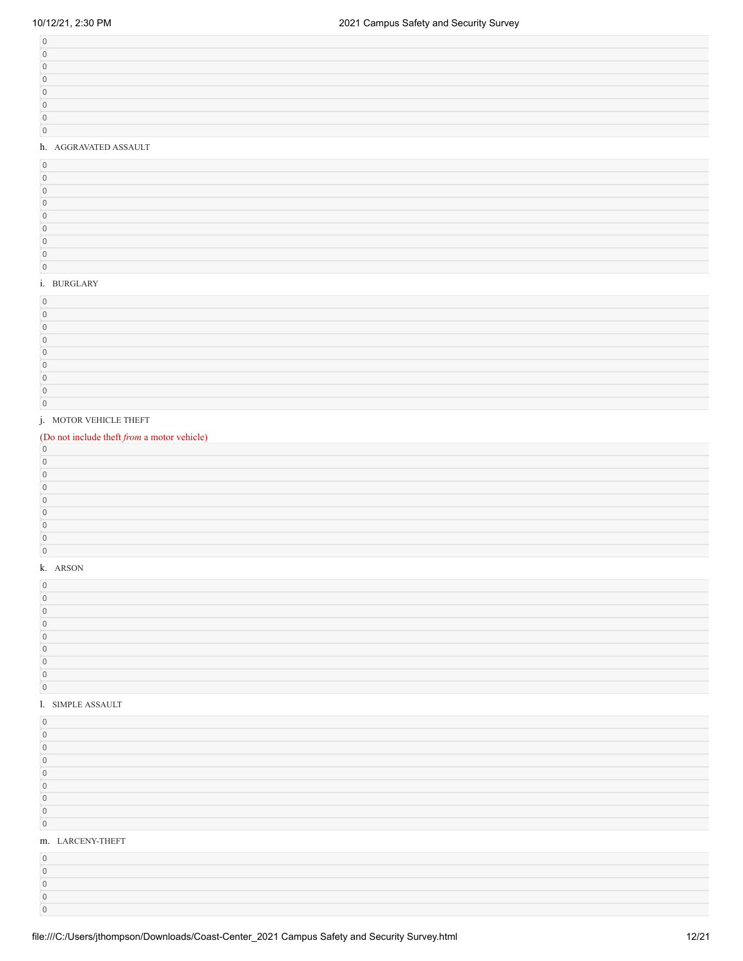# h. AGGRAVATED ASSAULT

## i. BURGLARY

#### j. MOTOR VEHICLE THEFT

# (Do not include theft *from* a motor vehicle)

# k. ARSON

#### l. SIMPLE ASSAULT

#### m. LARCENY-THEFT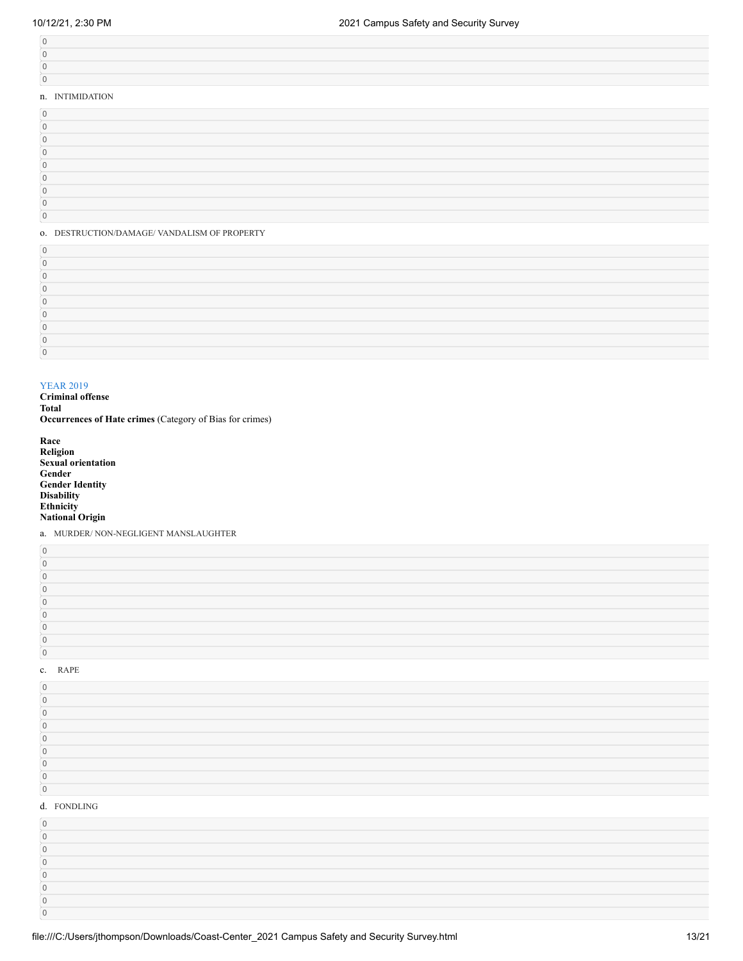| n. INTIMIDATION |  |
|-----------------|--|
| $\Omega$        |  |
|                 |  |
|                 |  |
|                 |  |
|                 |  |
|                 |  |
|                 |  |
|                 |  |
|                 |  |

#### o. DESTRUCTION/DAMAGE/ VANDALISM OF PROPERTY

### YEAR 2019

**Criminal offense Total Occurrences of Hate crimes** (Category of Bias for crimes)

| Race                      |
|---------------------------|
| <b>Religion</b>           |
| <b>Sexual orientation</b> |
| Gender                    |
| <b>Gender Identity</b>    |
| <b>Disability</b>         |
| <b>Ethnicity</b>          |
| <b>National Origin</b>    |
|                           |

a. MURDER/ NON-NEGLIGENT MANSLAUGHTER

#### c. RAPE

  $\,$   $\,$   $\,$  $\,$   $\,$   $\,$ 

| $\Omega$     |  |
|--------------|--|
|              |  |
| $\Box$       |  |
|              |  |
|              |  |
|              |  |
|              |  |
| $\Box$       |  |
| $\mathbf{0}$ |  |
| d. FONDLING  |  |
| $\Omega$     |  |
|              |  |
|              |  |
|              |  |
|              |  |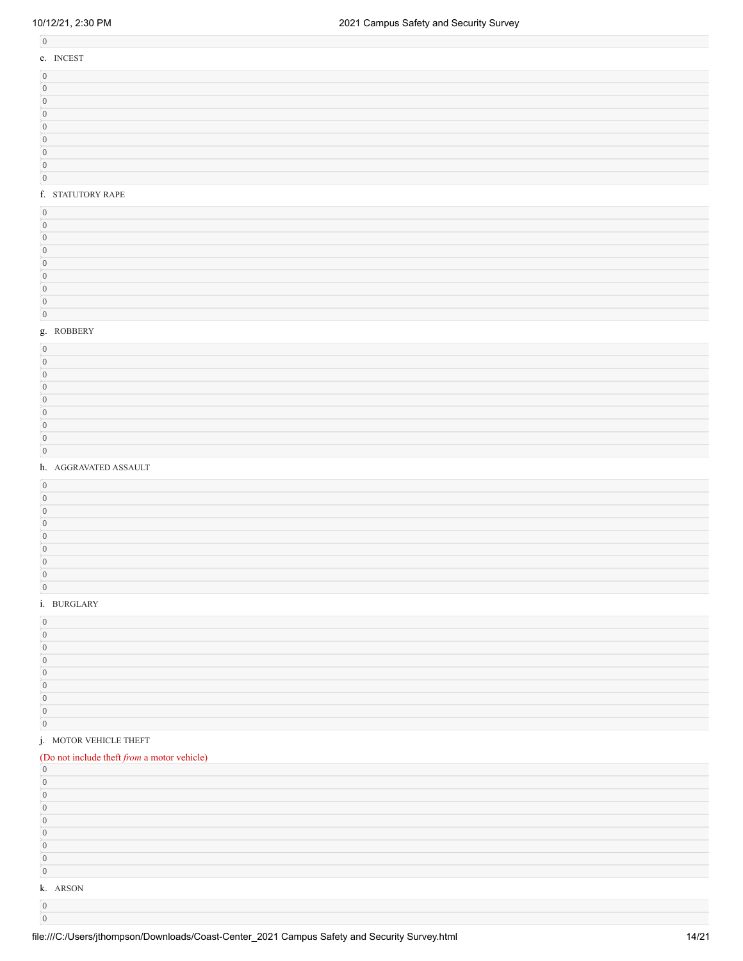# 

 $\boldsymbol{0}$ 

| e. INCEST  |  |
|------------|--|
| $\cap$     |  |
| $\cap$     |  |
|            |  |
|            |  |
|            |  |
|            |  |
| $\sqrt{2}$ |  |
| $\sqrt{2}$ |  |

## f. STATUTORY RAPE

#### g. ROBBERY

### h. AGGRAVATED ASSAULT

### i. BURGLARY

### j. MOTOR VEHICLE THEFT

# (Do not include theft *from* a motor vehicle)

| $\Omega$       |  |  |  |  |
|----------------|--|--|--|--|
| $\Omega$       |  |  |  |  |
| $\cap$         |  |  |  |  |
| n              |  |  |  |  |
| $\Omega$       |  |  |  |  |
| $\Omega$       |  |  |  |  |
| $\Omega$       |  |  |  |  |
| $\overline{0}$ |  |  |  |  |
| k. ARSON       |  |  |  |  |
| $\Omega$       |  |  |  |  |
|                |  |  |  |  |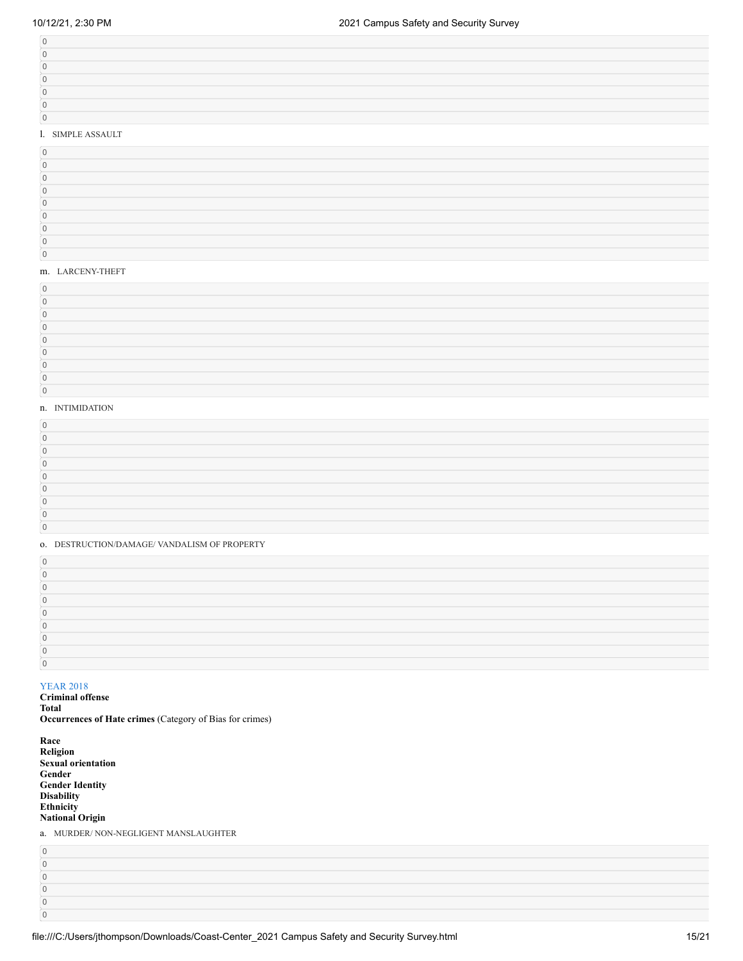# l. SIMPLE ASSAULT

### m. LARCENY-THEFT

#### n. INTIMIDATION

#### o. DESTRUCTION/DAMAGE/ VANDALISM OF PROPERTY

# YEAR 2018

# **Criminal offense**

**Total Occurrences of Hate crimes** (Category of Bias for crimes)

| Race                      |
|---------------------------|
| <b>Religion</b>           |
| <b>Sexual orientation</b> |
| Gender                    |
| <b>Gender Identity</b>    |
| <b>Disability</b>         |
| <b>Ethnicity</b>          |
| <b>National Origin</b>    |

a. MURDER/ NON-NEGLIGENT MANSLAUGHTER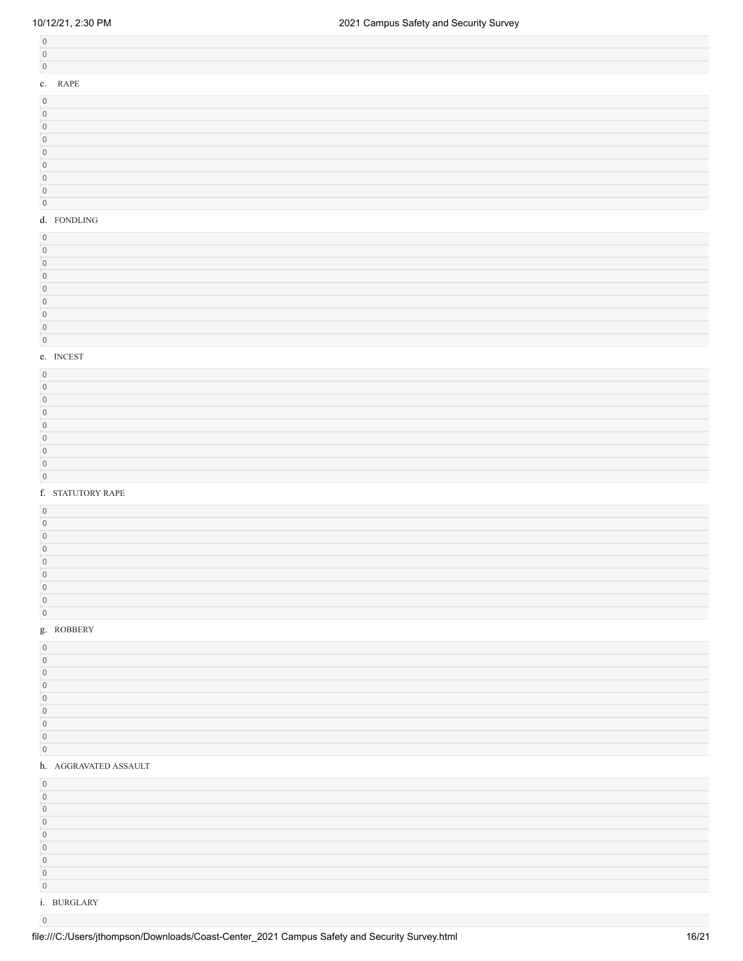| c. RAPE |
|---------|
|         |
|         |
|         |
|         |
|         |
|         |

# $\overline{0}$  $\boxed{0}$

# d. FONDLING

#### e. INCEST

#### f. STATUTORY RAPE

## g. ROBBERY

#### h. AGGRAVATED ASSAULT

| $\cap$      |  |
|-------------|--|
| $\sqrt{ }$  |  |
| $\Omega$    |  |
| $\Omega$    |  |
|             |  |
|             |  |
|             |  |
|             |  |
| $\cap$      |  |
| i. BURGLARY |  |

 $\boldsymbol{0}$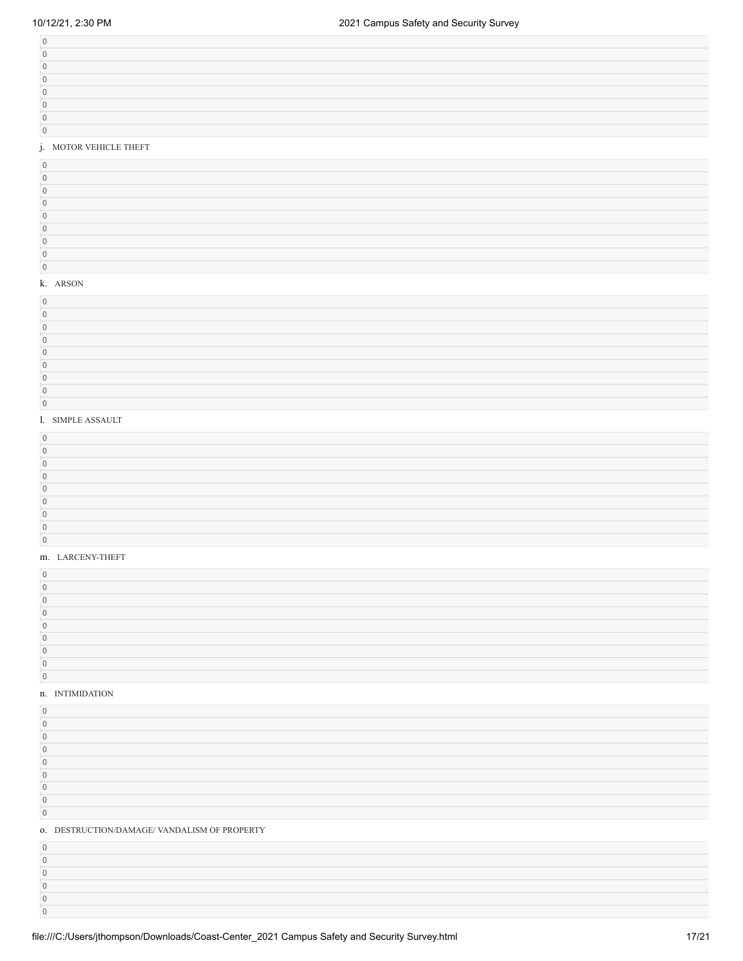# j. MOTOR VEHICLE THEFT

# k. ARSON

#### l. SIMPLE ASSAULT

#### m. LARCENY-THEFT

#### n. INTIMIDATION

| 0. DESTRUCTION/DAMAGE/ VANDALISM OF PROPERTY |
|----------------------------------------------|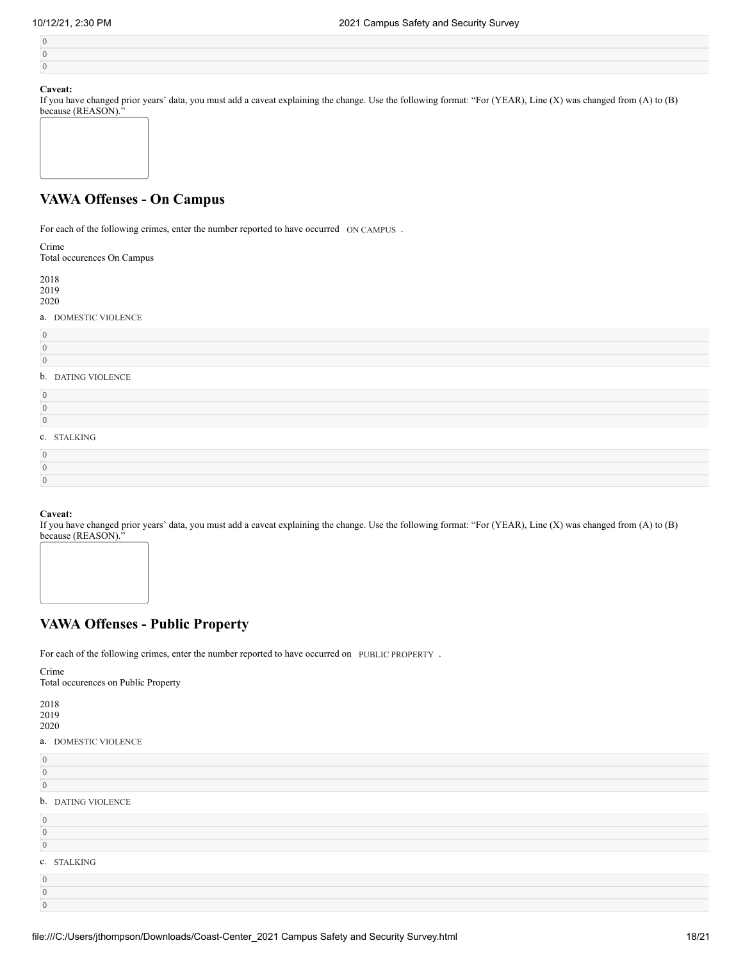If you have changed prior years' data, you must add a caveat explaining the change. Use the following format: "For (YEAR), Line (X) was changed from (A) to (B) because (REASON)."

| because (REASON). |  |
|-------------------|--|
|                   |  |
|                   |  |
|                   |  |
|                   |  |
|                   |  |
|                   |  |
|                   |  |
|                   |  |
|                   |  |

# **VAWA Offenses - On Campus**

For each of the following crimes, enter the number reported to have occurred ON CAMPUS.

| ۰.<br>I |  |
|---------|--|

Total occurences On Campus

| 2018<br>2019<br>2020 |                   |
|----------------------|-------------------|
| a.                   | DOMESTIC VIOLENCE |
|                      |                   |
|                      |                   |
|                      |                   |

### b. DATING VIOLENCE

| c. STALKING |  |  |
|-------------|--|--|

# **Caveat:**

If you have changed prior years' data, you must add a caveat explaining the change. Use the following format: "For (YEAR), Line (X) was changed from (A) to (B) because (REASON)."



For each of the following crimes, enter the number reported to have occurred on PUBLIC PROPERTY.

Crime Total occurences on Public Property

# 2018 2019

2020

# a. DOMESTIC VIOLENCE

| $\overline{0}$ |                           |
|----------------|---------------------------|
| $\overline{0}$ |                           |
| $\overline{0}$ |                           |
|                | <b>b.</b> DATING VIOLENCE |
| $\overline{0}$ |                           |
| $\overline{0}$ |                           |
| $\overline{0}$ |                           |
|                | c. STALKING               |
| $\Omega$       |                           |
| $\cap$         |                           |
|                |                           |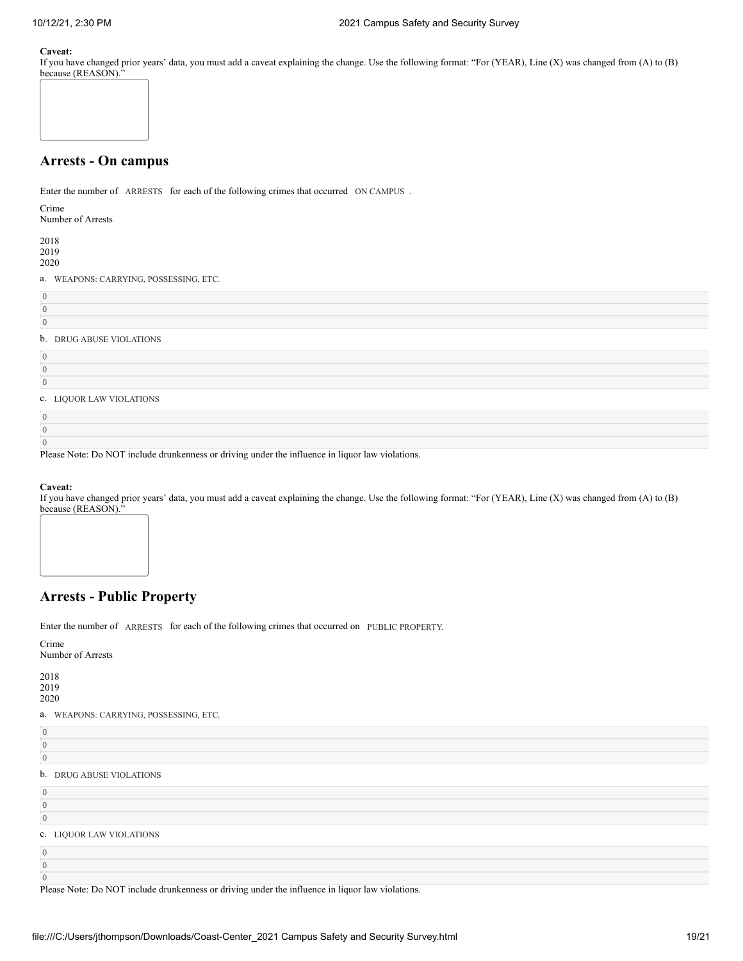If you have changed prior years' data, you must add a caveat explaining the change. Use the following format: "For (YEAR), Line (X) was changed from (A) to (B) because (REASON)."



# **Arrests - On campus**

Enter the number of ARRESTS for each of the following crimes that occurred ON CAMPUS.

Crime

Number of Arrests

2018 2019 2020

a. WEAPONS: CARRYING, POSSESSING, ETC.

| $\overline{0}$ |                          |
|----------------|--------------------------|
| $\overline{0}$ |                          |
| $\overline{0}$ |                          |
|                | b. DRUG ABUSE VIOLATIONS |
| $\overline{0}$ |                          |
| $\overline{0}$ |                          |
| $\overline{0}$ |                          |
|                | c. LIQUOR LAW VIOLATIONS |
| $\overline{0}$ |                          |
| $\overline{0}$ |                          |
| $\Omega$       |                          |

Please Note: Do NOT include drunkenness or driving under the influence in liquor law violations.

### **Caveat:**

If you have changed prior years' data, you must add a caveat explaining the change. Use the following format: "For (YEAR), Line (X) was changed from (A) to (B) because (REASON)."



# **Arrests - Public Property**

Enter the number of ARRESTS for each of the following crimes that occurred on PUBLIC PROPERTY.

Crime Number of Arrests

2018 2019

2020

0

0 0

a. WEAPONS: CARRYING, POSSESSING, ETC.

| $\cap$ |                          |
|--------|--------------------------|
|        | b. DRUG ABUSE VIOLATIONS |

0

| $\mathbf{0}$             |  |  |
|--------------------------|--|--|
| $\mathbf{0}$             |  |  |
| c. LIQUOR LAW VIOLATIONS |  |  |
| $\mathbf{0}$             |  |  |

Please Note: Do NOT include drunkenness or driving under the influence in liquor law violations.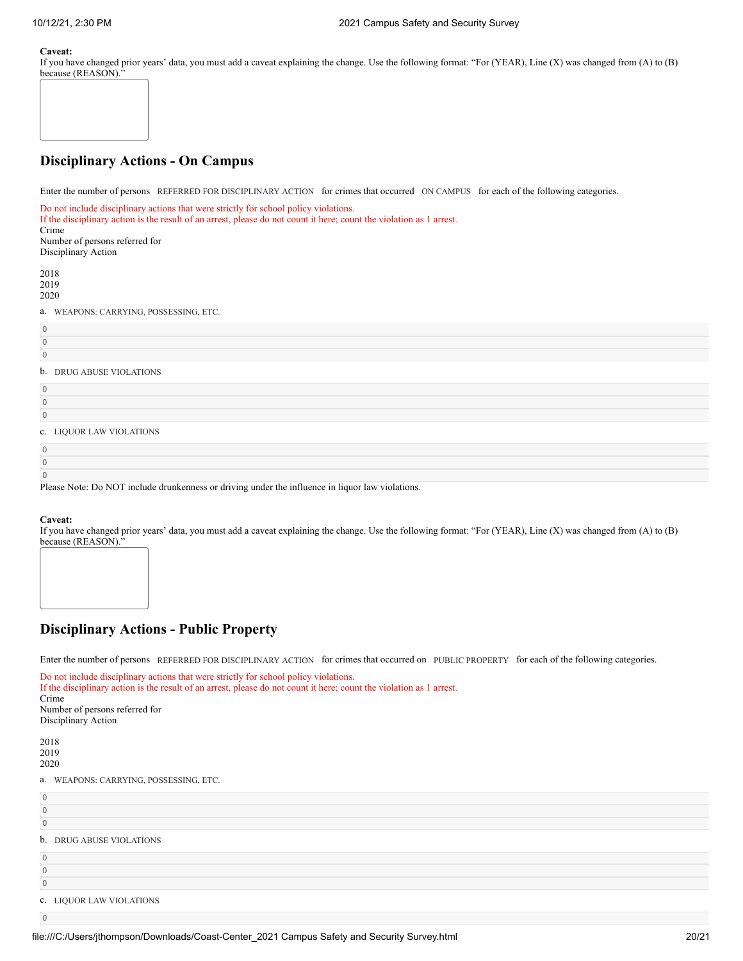If you have changed prior years' data, you must add a caveat explaining the change. Use the following format: "For (YEAR), Line (X) was changed from (A) to (B) because (REASON)."



# **Disciplinary Actions - On Campus**

Enter the number of persons REFERRED FOR DISCIPLINARY ACTION for crimes that occurred ON CAMPUS for each of the following categories.

Do not include disciplinary actions that were strictly for school policy violations. If the disciplinary action is the result of an arrest, please do not count it here; count the violation as 1 arrest. Crime Number of persons referred for Disciplinary Action 2018 2019 2020 a. WEAPONS: CARRYING, POSSESSING, ETC. 0 0 0 b. DRUG ABUSE VIOLATIONS 0 0 0 c. LIQUOR LAW VIOLATIONS

| Please Note: Do NOT include drunkenness or driving under the influence in liquor law violations. |  |
|--------------------------------------------------------------------------------------------------|--|

# **Caveat:**

If you have changed prior years' data, you must add a caveat explaining the change. Use the following format: "For (YEAR), Line (X) was changed from (A) to (B) because (REASON)."



# **Disciplinary Actions - Public Property**

Enter the number of persons REFERRED FOR DISCIPLINARY ACTION for crimes that occurred on PUBLIC PROPERTY for each of the following categories.

| Do not include disciplinary actions that were strictly for school policy violations.<br>If the disciplinary action is the result of an arrest, please do not count it here; count the violation as 1 arrest.<br>Crime<br>Number of persons referred for<br>Disciplinary Action |
|--------------------------------------------------------------------------------------------------------------------------------------------------------------------------------------------------------------------------------------------------------------------------------|
| 2018<br>2019<br>2020                                                                                                                                                                                                                                                           |
| a. WEAPONS: CARRYING, POSSESSING, ETC.                                                                                                                                                                                                                                         |
| $\overline{0}$                                                                                                                                                                                                                                                                 |
| $\mathbf{0}$                                                                                                                                                                                                                                                                   |
| $\Omega$                                                                                                                                                                                                                                                                       |
| $1 -$ m m x x $\alpha$ , m x x $\alpha$ x x $\alpha$ x $\alpha$ x $\alpha$ x $\alpha$                                                                                                                                                                                          |

b. DRUG ABUSE VIOLATIONS

c. LIQUOR LAW VIOLATIONS

0